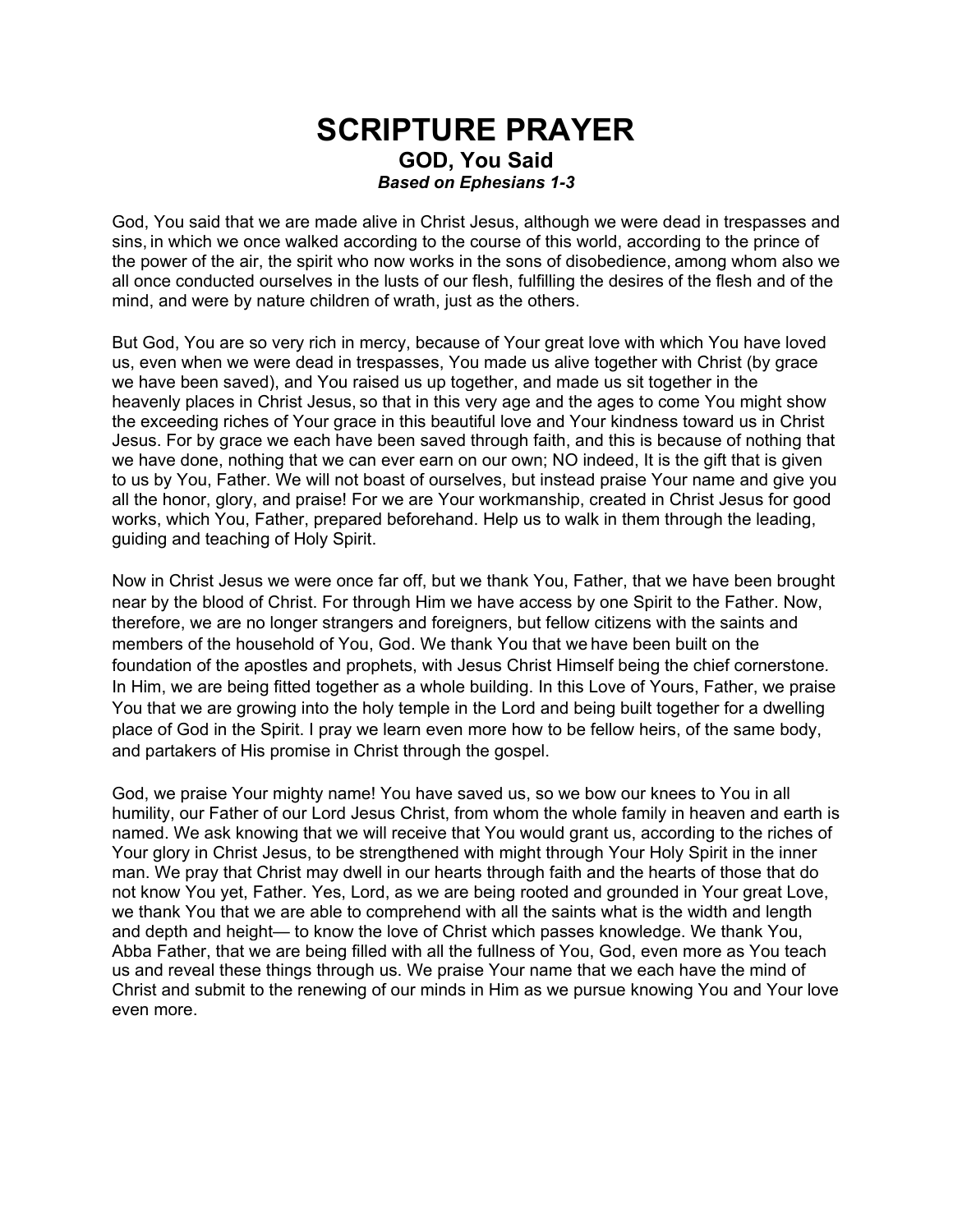## **SCRIPTURE PRAYER GOD, You Said**  *Based on Ephesians 1-3*

God, You said that we are made alive in Christ Jesus, although we were dead in trespasses and sins, in which we once walked according to the course of this world, according to the prince of the power of the air, the spirit who now works in the sons of disobedience, among whom also we all once conducted ourselves in the lusts of our flesh, fulfilling the desires of the flesh and of the mind, and were by nature children of wrath, just as the others.

But God, You are so very rich in mercy, because of Your great love with which You have loved us, even when we were dead in trespasses, You made us alive together with Christ (by grace we have been saved), and You raised us up together, and made us sit together in the heavenly places in Christ Jesus, so that in this very age and the ages to come You might show the exceeding riches of Your grace in this beautiful love and Your kindness toward us in Christ Jesus. For by grace we each have been saved through faith, and this is because of nothing that we have done, nothing that we can ever earn on our own; NO indeed, It is the gift that is given to us by You, Father. We will not boast of ourselves, but instead praise Your name and give you all the honor, glory, and praise! For we are Your workmanship, created in Christ Jesus for good works, which You, Father, prepared beforehand. Help us to walk in them through the leading, guiding and teaching of Holy Spirit.

Now in Christ Jesus we were once far off, but we thank You, Father, that we have been brought near by the blood of Christ. For through Him we have access by one Spirit to the Father. Now, therefore, we are no longer strangers and foreigners, but fellow citizens with the saints and members of the household of You, God. We thank You that we have been built on the foundation of the apostles and prophets, with Jesus Christ Himself being the chief cornerstone*.* In Him, we are being fitted together as a whole building. In this Love of Yours, Father, we praise You that we are growing into the holy temple in the Lord and being built together for a dwelling place of God in the Spirit. I pray we learn even more how to be fellow heirs, of the same body, and partakers of His promise in Christ through the gospel.

God, we praise Your mighty name! You have saved us, so we bow our knees to You in all humility, our Father of our Lord Jesus Christ, from whom the whole family in heaven and earth is named. We ask knowing that we will receive that You would grant us, according to the riches of Your glory in Christ Jesus, to be strengthened with might through Your Holy Spirit in the inner man. We pray that Christ may dwell in our hearts through faith and the hearts of those that do not know You yet, Father. Yes, Lord, as we are being rooted and grounded in Your great Love, we thank You that we are able to comprehend with all the saints what is the width and length and depth and height— to know the love of Christ which passes knowledge. We thank You, Abba Father, that we are being filled with all the fullness of You, God, even more as You teach us and reveal these things through us. We praise Your name that we each have the mind of Christ and submit to the renewing of our minds in Him as we pursue knowing You and Your love even more.